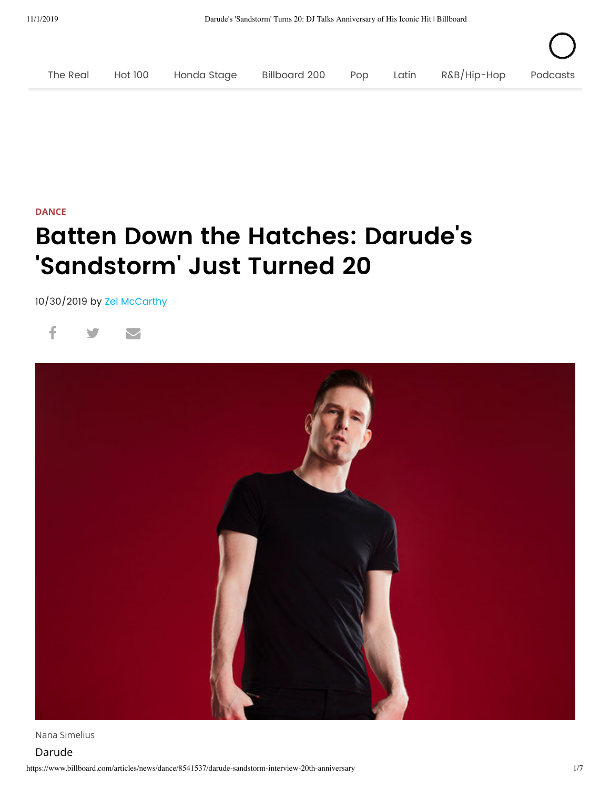

## **[DANCE](https://www.billboard.com/dance)**

## **Batten Down the Hatches: Darude ' s 'Sandstorm ' Just Turned 20**

10/30/2019 by Zel [McCarthy](https://www.billboard.com/author/zel-mccarthy-1516395)





Nana Simelius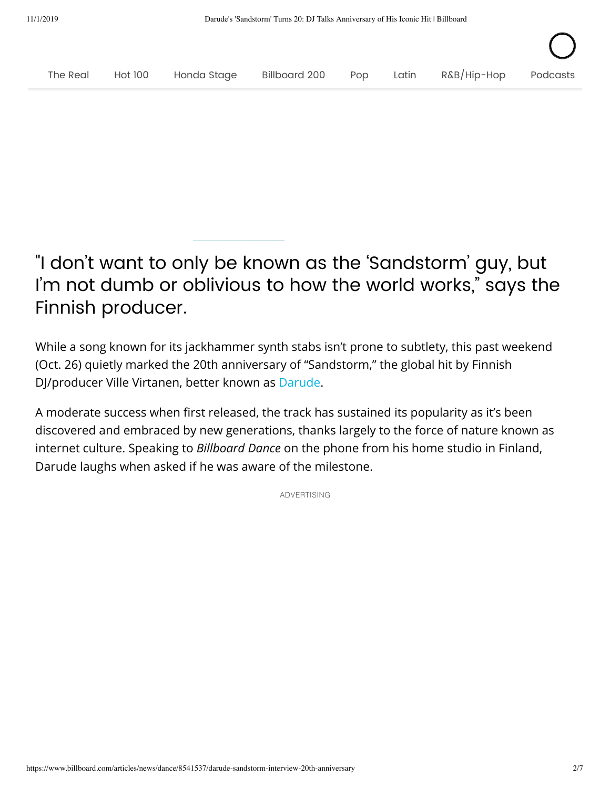

## "I don't want to only be known as the 'Sandstorm' guy, but I'm not dumb or oblivious to how the world works," says the Finnish producer.

While a song known for its jackhammer synth stabs isn't prone to subtlety, this past weekend (Oct. 26) quietly marked the 20th anniversary of "Sandstorm," the global hit by Finnish DJ/producer Ville Virtanen, better known as [Darude.](https://www.billboard.com/music/darude)

A moderate success when first released, the track has sustained its popularity as it's been discovered and embraced by new generations, thanks largely to the force of nature known as internet culture. Speaking to *Billboard Dance* on the phone from his home studio in Finland, Darude laughs when asked if he was aware of the milestone.

ADVERTISING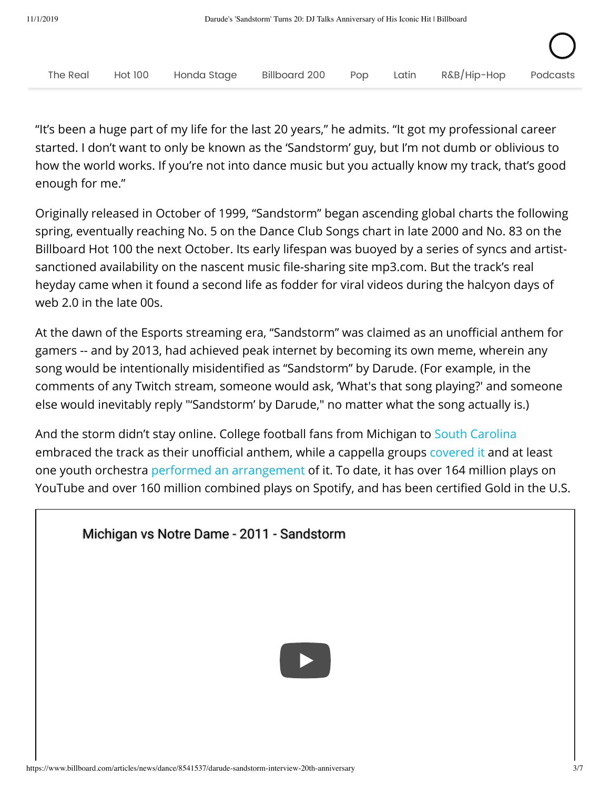

"It's been a huge part of my life for the last 20 years," he admits. "It got my professional career started. I don't want to only be known as the 'Sandstorm' guy, but I'm not dumb or oblivious to how the world works. If you're not into dance music but you actually know my track, that's good enough for me."

Originally released in October of 1999, "Sandstorm" began ascending global charts the following spring, eventually reaching No. 5 on the Dance Club Songs chart in late 2000 and No. 83 on the Billboard Hot 100 the next October. Its early lifespan was buoyed by a series of syncs and artistsanctioned availability on the nascent music file-sharing site mp3.com. But the track's real heyday came when it found a second life as fodder for viral videos during the halcyon days of web 2.0 in the late 00s.

At the dawn of the Esports streaming era, "Sandstorm" was claimed as an unofficial anthem for gamers -- and by 2013, had achieved peak internet by becoming its own meme, wherein any song would be intentionally misidentified as "Sandstorm" by Darude. (For example, in the comments of any Twitch stream, someone would ask, 'What's that song playing?' and someone else would inevitably reply "'Sandstorm' by Darude," no matter what the song actually is.)

And the storm didn't stay online. College football fans from Michigan to [South Carolina](https://www.youtube.com/watch?v=pJHL-hZOqnQ) embraced the track as their unofficial anthem, while a cappella groups [covered it](https://www.youtube.com/watch?v=IC5w29zATW8) and at least one youth orchestra [performed an arrangement](https://www.billboard.com/articles/news/dance/7400331/sydney-youth-orchestra-darude-sandstorm-cover) of it. To date, it has over 164 million plays on YouTube and over 160 million combined plays on Spotify, and has been certified Gold in the U.S.

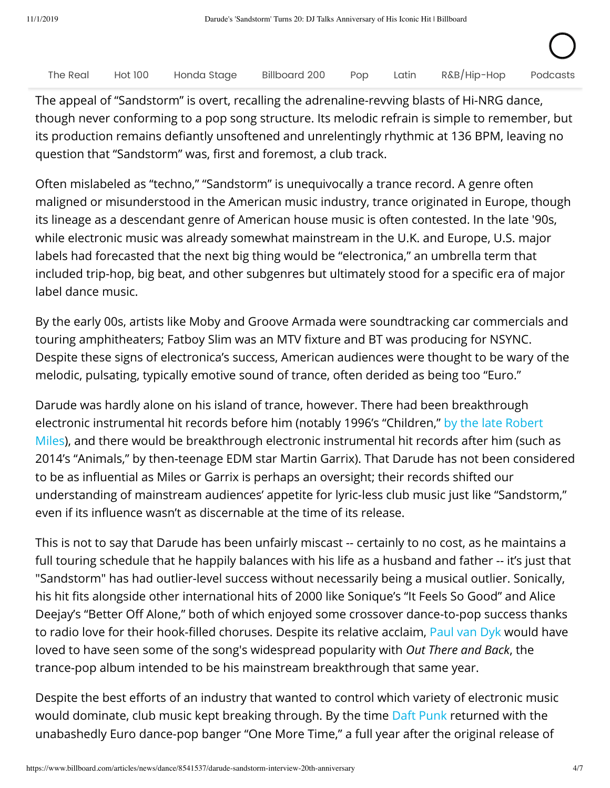|  |  |  | The Real Hot 100 Honda Stage Billboard 200 Pop Latin R&B/Hip-Hop Podcasts |  |
|--|--|--|---------------------------------------------------------------------------|--|

The appeal of "Sandstorm" is overt, recalling the adrenaline-revving blasts of Hi-NRG dance, though never conforming to a pop song structure. Its melodic refrain is simple to remember, but its production remains defiantly unsoftened and unrelentingly rhythmic at 136 BPM, leaving no question that "Sandstorm" was, first and foremost, a club track.

Often mislabeled as "techno," "Sandstorm" is unequivocally a trance record. A genre often maligned or misunderstood in the American music industry, trance originated in Europe, though its lineage as a descendant genre of American house music is often contested. In the late '90s, while electronic music was already somewhat mainstream in the U.K. and Europe, U.S. major labels had forecasted that the next big thing would be "electronica," an umbrella term that included trip-hop, big beat, and other subgenres but ultimately stood for a specific era of major label dance music.

By the early 00s, artists like Moby and Groove Armada were soundtracking car commercials and touring amphitheaters; Fatboy Slim was an MTV fixture and BT was producing for NSYNC. Despite these signs of electronica's success, American audiences were thought to be wary of the melodic, pulsating, typically emotive sound of trance, often derided as being too "Euro."

Darude was hardly alone on his island of trance, however. There had been breakthrough [electronic instrumental hit records before him \(notably 1996's "Children," by the late Robert](https://www.billboard.com/articles/news/dance/7792079/robert-miles-children-classic-hit-remembrance) Miles), and there would be breakthrough electronic instrumental hit records after him (such as 2014's "Animals," by then-teenage EDM star Martin Garrix). That Darude has not been considered to be as influential as Miles or Garrix is perhaps an oversight; their records shifted our understanding of mainstream audiences' appetite for lyric-less club music just like "Sandstorm," even if its influence wasn't as discernable at the time of its release.

This is not to say that Darude has been unfairly miscast -- certainly to no cost, as he maintains a full touring schedule that he happily balances with his life as a husband and father -- it's just that "Sandstorm" has had outlier-level success without necessarily being a musical outlier. Sonically, his hit fits alongside other international hits of 2000 like Sonique's "It Feels So Good" and Alice Deejay's "Better Off Alone," both of which enjoyed some crossover dance-to-pop success thanks to radio love for their hook-filled choruses. Despite its relative acclaim, [Paul van Dyk](https://www.billboard.com/music/paul-van-dyk) would have loved to have seen some of the song's widespread popularity with *Out There and Back*, the trance-pop album intended to be his mainstream breakthrough that same year.

Despite the best efforts of an industry that wanted to control which variety of electronic music would dominate, club music kept breaking through. By the time [Daft Punk](https://www.billboard.com/music/daft-punk) returned with the unabashedly Euro dance-pop banger "One More Time," a full year after the original release of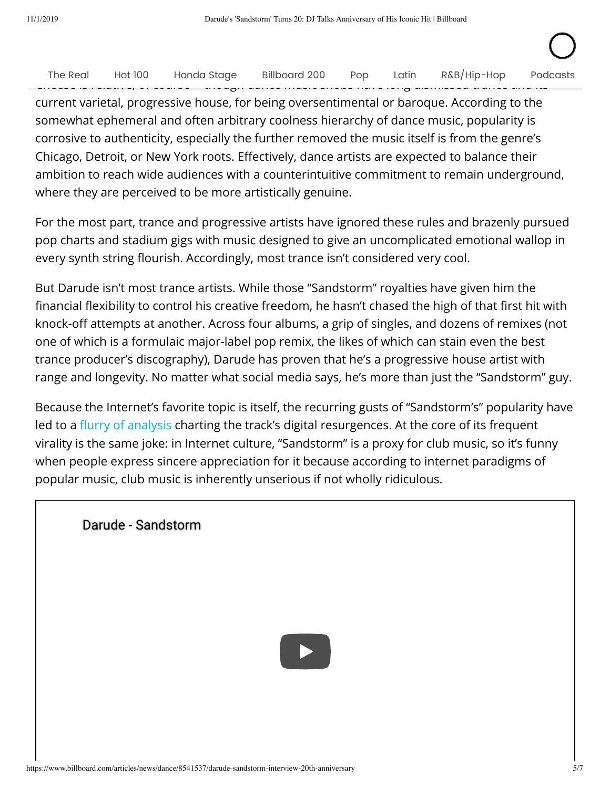| The Real Hot 100 Honda Stage |  |  | Billboard 200 | Pop | Latin |                                                                                                                                                                                                                               |  | R&B/Hip-Hop Podcasts |
|------------------------------|--|--|---------------|-----|-------|-------------------------------------------------------------------------------------------------------------------------------------------------------------------------------------------------------------------------------|--|----------------------|
|                              |  |  |               |     |       |                                                                                                                                                                                                                               |  |                      |
|                              |  |  |               |     |       | and a bring in a bring and a strategies and the consequence of the strategies of the strategies of the strategies of the strategies of the strategies of the strategies of the strategies of the strategies of the strategies |  |                      |

 $\mathcal{S}$  and the ready to accept as credible as credible as credible as credible as credible a sound they previously might have  $\mathcal{S}$ 

current varietal, progressive house, for being oversentimental or baroque. According to the somewhat ephemeral and often arbitrary coolness hierarchy of dance music, popularity is corrosive to authenticity, especially the further removed the music itself is from the genre's Chicago, Detroit, or New York roots. Effectively, dance artists are expected to balance their ambition to reach wide audiences with a counterintuitive commitment to remain underground, where they are perceived to be more artistically genuine.

For the most part, trance and progressive artists have ignored these rules and brazenly pursued pop charts and stadium gigs with music designed to give an uncomplicated emotional wallop in every synth string flourish. Accordingly, most trance isn't considered very cool.

But Darude isn't most trance artists. While those "Sandstorm" royalties have given him the financial flexibility to control his creative freedom, he hasn't chased the high of that first hit with knock-off attempts at another. Across four albums, a grip of singles, and dozens of remixes (not one of which is a formulaic major-label pop remix, the likes of which can stain even the best trance producer's discography), Darude has proven that he's a progressive house artist with range and longevity. No matter what social media says, he's more than just the "Sandstorm" guy.

Because the Internet's favorite topic is itself, the recurring gusts of "Sandstorm's" popularity have led to a fl[urry](https://www.redbull.com/ca-en/how-darude-feels-making-the-only-song-in-esports) [of](https://www.youtube.com/watch?v=NsGrfU5buKc) [analysis](https://www.miaminewtimes.com/music/interview-with-darude-hes-thankful-for-the-sandstorm-memes-10636780) charting the track's digital resurgences. At the core of its frequent virality is the same joke: in Internet culture, "Sandstorm" is a proxy for club music, so it's funny when people express sincere appreciation for it because according to internet paradigms of popular music, club music is inherently unserious if not wholly ridiculous.

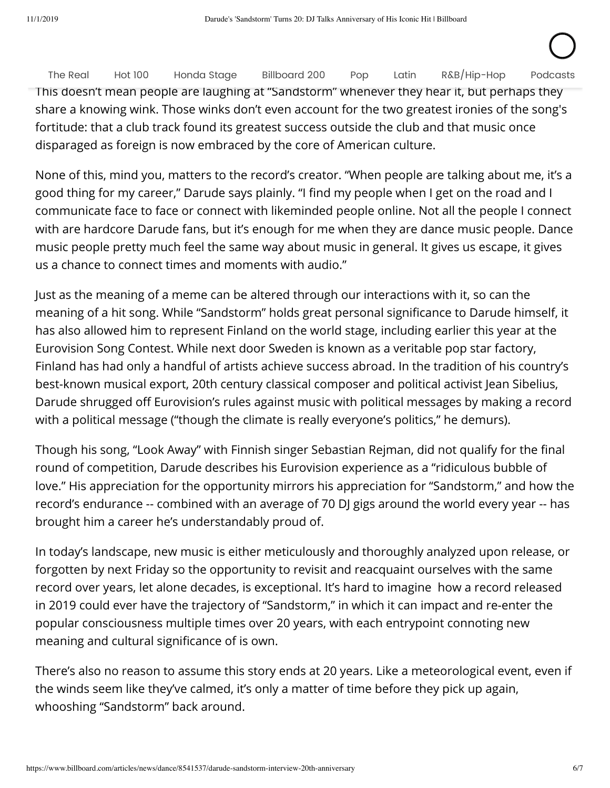This doesn't mean people are laughing at "Sandstorm" whenever they hear it, but perhaps they share a knowing wink. Those winks don't even account for the two greatest ironies of the song's fortitude: that a club track found its greatest success outside the club and that music once disparaged as foreign is now embraced by the core of American culture. The [Real](https://ampthemag.us8.list-manage.com/subscribe?u=6b7f0d28a318978ae93633789&id=3db035a4e3) [Hot](https://www.billboard.com/charts/hot-100) 100 [Honda](https://www.billboard.com/hondastage) Stage [Billboard](https://www.billboard.com/charts/billboard-200) 200 [Pop](https://www.billboard.com/pop) [Latin](https://www.billboard.com/latin) [R&B/Hip-Hop](https://www.billboard.com/hip-hop-rap-r-and-b) [Podcasts](https://www.billboard.com/podcasts)

None of this, mind you, matters to the record's creator. "When people are talking about me, it's a good thing for my career," Darude says plainly. "I find my people when I get on the road and I communicate face to face or connect with likeminded people online. Not all the people I connect with are hardcore Darude fans, but it's enough for me when they are dance music people. Dance music people pretty much feel the same way about music in general. It gives us escape, it gives us a chance to connect times and moments with audio."

Just as the meaning of a meme can be altered through our interactions with it, so can the meaning of a hit song. While "Sandstorm" holds great personal significance to Darude himself, it has also allowed him to represent Finland on the world stage, including earlier this year at the Eurovision Song Contest. While next door Sweden is known as a veritable pop star factory, Finland has had only a handful of artists achieve success abroad. In the tradition of his country's best-known musical export, 20th century classical composer and political activist Jean Sibelius, Darude shrugged off Eurovision's rules against music with political messages by making a record with a political message ("though the climate is really everyone's politics," he demurs).

Though his song, "Look Away" with Finnish singer Sebastian Rejman, did not qualify for the final round of competition, Darude describes his Eurovision experience as a "ridiculous bubble of love." His appreciation for the opportunity mirrors his appreciation for "Sandstorm," and how the record's endurance -- combined with an average of 70 DJ gigs around the world every year -- has brought him a career he's understandably proud of.

In today's landscape, new music is either meticulously and thoroughly analyzed upon release, or forgotten by next Friday so the opportunity to revisit and reacquaint ourselves with the same record over years, let alone decades, is exceptional. It's hard to imagine how a record released in 2019 could ever have the trajectory of "Sandstorm," in which it can impact and re-enter the popular consciousness multiple times over 20 years, with each entrypoint connoting new meaning and cultural significance of is own.

There's also no reason to assume this story ends at 20 years. Like a meteorological event, even if the winds seem like they've calmed, it's only a matter of time before they pick up again, whooshing "Sandstorm" back around.